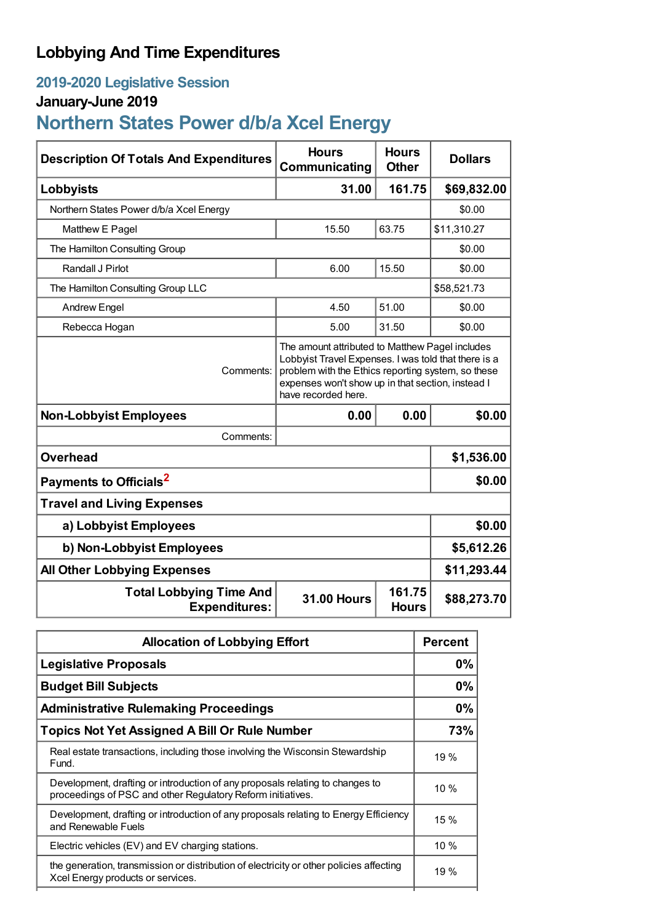## **Lobbying And Time Expenditures**

## **2019-2020 Legislative Session**

## **January-June 2019**

# **Northern States Power d/b/a Xcel Energy**

| <b>Description Of Totals And Expenditures</b>          | <b>Hours</b><br><b>Communicating</b>                                                                                                                                                                                                      | <b>Hours</b><br><b>Other</b> | <b>Dollars</b> |  |
|--------------------------------------------------------|-------------------------------------------------------------------------------------------------------------------------------------------------------------------------------------------------------------------------------------------|------------------------------|----------------|--|
| Lobbyists                                              | 31.00                                                                                                                                                                                                                                     | 161.75                       | \$69,832.00    |  |
| Northern States Power d/b/a Xcel Energy                |                                                                                                                                                                                                                                           |                              | \$0.00         |  |
| Matthew E Pagel                                        | 15.50                                                                                                                                                                                                                                     | 63.75                        | \$11,310.27    |  |
| The Hamilton Consulting Group                          |                                                                                                                                                                                                                                           |                              | \$0.00         |  |
| Randall J Pirlot                                       | 6.00                                                                                                                                                                                                                                      | 15.50                        | \$0.00         |  |
| The Hamilton Consulting Group LLC                      |                                                                                                                                                                                                                                           |                              | \$58,521.73    |  |
| <b>Andrew Engel</b>                                    | 4.50                                                                                                                                                                                                                                      | 51.00                        | \$0.00         |  |
| Rebecca Hogan                                          | 5.00                                                                                                                                                                                                                                      | 31.50                        | \$0.00         |  |
| Comments:                                              | The amount attributed to Matthew Pagel includes<br>Lobbyist Travel Expenses. I was told that there is a<br>problem with the Ethics reporting system, so these<br>expenses won't show up in that section, instead I<br>have recorded here. |                              |                |  |
| <b>Non-Lobbyist Employees</b>                          | 0.00                                                                                                                                                                                                                                      | 0.00                         | \$0.00         |  |
| Comments:                                              |                                                                                                                                                                                                                                           |                              |                |  |
| <b>Overhead</b>                                        |                                                                                                                                                                                                                                           |                              | \$1,536.00     |  |
| Payments to Officials <sup>2</sup>                     |                                                                                                                                                                                                                                           |                              | \$0.00         |  |
| <b>Travel and Living Expenses</b>                      |                                                                                                                                                                                                                                           |                              |                |  |
| a) Lobbyist Employees                                  | \$0.00                                                                                                                                                                                                                                    |                              |                |  |
| b) Non-Lobbyist Employees                              |                                                                                                                                                                                                                                           |                              | \$5,612.26     |  |
| <b>All Other Lobbying Expenses</b>                     | \$11,293.44                                                                                                                                                                                                                               |                              |                |  |
| <b>Total Lobbying Time And</b><br><b>Expenditures:</b> | <b>31.00 Hours</b>                                                                                                                                                                                                                        | 161.75<br><b>Hours</b>       | \$88,273.70    |  |

| <b>Allocation of Lobbying Effort</b>                                                                                                         |        |
|----------------------------------------------------------------------------------------------------------------------------------------------|--------|
| <b>Legislative Proposals</b>                                                                                                                 | 0%     |
| <b>Budget Bill Subjects</b>                                                                                                                  | 0%     |
| <b>Administrative Rulemaking Proceedings</b>                                                                                                 | 0%     |
| <b>Topics Not Yet Assigned A Bill Or Rule Number</b>                                                                                         | 73%    |
| Real estate transactions, including those involving the Wisconsin Stewardship<br>Fund.                                                       | 19 %   |
| Development, drafting or introduction of any proposals relating to changes to<br>proceedings of PSC and other Regulatory Reform initiatives. | $10\%$ |
| Development, drafting or introduction of any proposals relating to Energy Efficiency<br>and Renewable Fuels                                  | 15%    |
| Electric vehicles (EV) and EV charging stations.                                                                                             | 10 %   |
| the generation, transmission or distribution of electricity or other policies affecting<br>Xcel Energy products or services.                 | 19 %   |